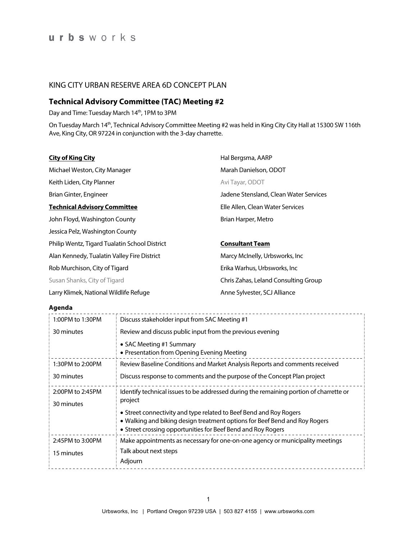### KING CITY URBAN RESERVE AREA 6D CONCEPT PLAN

## **Technical Advisory Committee (TAC) Meeting #2**

Day and Time: Tuesday March 14<sup>th</sup>, 1PM to 3PM

On Tuesday March 14<sup>th</sup>, Technical Advisory Committee Meeting #2 was held in King City City Hall at 15300 SW 116th Ave, King City, OR 97224 in conjunction with the 3-day charrette.

| <b>City of King City</b>                      | Hal Bergsma, AARP                      |
|-----------------------------------------------|----------------------------------------|
| Michael Weston, City Manager                  | Marah Danielson, ODOT                  |
| Keith Liden, City Planner                     | Avi Tayar, ODOT                        |
| Brian Ginter, Engineer                        | Jadene Stensland, Clean Water Services |
| <b>Technical Advisory Committee</b>           | Elle Allen, Clean Water Services       |
| John Floyd, Washington County                 | Brian Harper, Metro                    |
| Jessica Pelz, Washington County               |                                        |
| Philip Wentz, Tigard Tualatin School District | <b>Consultant Team</b>                 |
| Alan Kennedy, Tualatin Valley Fire District   | Marcy McInelly, Urbsworks, Inc.        |
| Rob Murchison, City of Tigard                 | Erika Warhus, Urbsworks, Inc           |
| Susan Shanks, City of Tigard                  | Chris Zahas, Leland Consulting Group   |
| Larry Klimek, National Wildlife Refuge        | Anne Sylvester, SCJ Alliance           |

### **Agenda**

| 1:00PM to 1:30PM               | Discuss stakeholder input from SAC Meeting #1                                                                                                                                                                    |
|--------------------------------|------------------------------------------------------------------------------------------------------------------------------------------------------------------------------------------------------------------|
| 30 minutes                     | Review and discuss public input from the previous evening                                                                                                                                                        |
|                                | • SAC Meeting #1 Summary<br>• Presentation from Opening Evening Meeting                                                                                                                                          |
| 1:30PM to 2:00PM               | Review Baseline Conditions and Market Analysis Reports and comments received                                                                                                                                     |
| 30 minutes                     | Discuss response to comments and the purpose of the Concept Plan project                                                                                                                                         |
| 2:00PM to 2:45PM<br>30 minutes | Identify technical issues to be addressed during the remaining portion of charrette or<br>project                                                                                                                |
|                                | • Street connectivity and type related to Beef Bend and Roy Rogers<br>• Walking and biking design treatment options for Beef Bend and Roy Rogers<br>• Street crossing opportunities for Beef Bend and Roy Rogers |
| 2:45PM to 3:00PM<br>15 minutes | Make appointments as necessary for one-on-one agency or municipality meetings<br>Talk about next steps<br>Adjourn                                                                                                |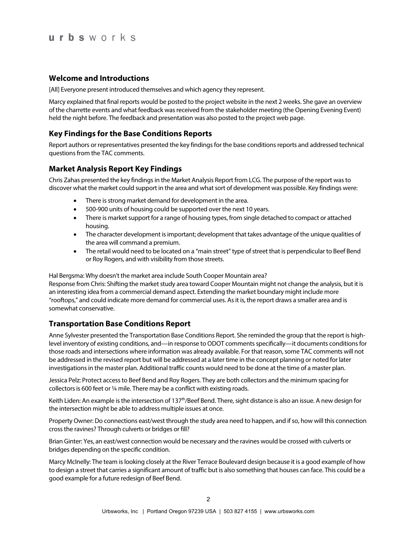# urbsworks

### **Welcome and Introductions**

[All] Everyone present introduced themselves and which agency they represent.

Marcy explained that final reports would be posted to the project website in the next 2 weeks. She gave an overview of the charrette events and what feedback was received from the stakeholder meeting (the Opening Evening Event) held the night before. The feedback and presentation was also posted to the project web page.

## **Key Findings for the Base Conditions Reports**

Report authors or representatives presented the key findings for the base conditions reports and addressed technical questions from the TAC comments.

### **Market Analysis Report Key Findings**

Chris Zahas presented the key findings in the Market Analysis Report from LCG. The purpose of the report was to discover what the market could support in the area and what sort of development was possible. Key findings were:

- There is strong market demand for development in the area.
- 500-900 units of housing could be supported over the next 10 years.
- There is market support for a range of housing types, from single detached to compact or attached housing.
- The character development is important; development that takes advantage of the unique qualities of the area will command a premium.
- The retail would need to be located on a "main street" type of street that is perpendicular to Beef Bend or Roy Rogers, and with visibility from those streets.

Hal Bergsma: Why doesn't the market area include South Cooper Mountain area?

Response from Chris: Shifting the market study area toward Cooper Mountain might not change the analysis, but it is an interesting idea from a commercial demand aspect. Extending the market boundary might include more "rooftops," and could indicate more demand for commercial uses. As it is, the report draws a smaller area and is somewhat conservative.

## **Transportation Base Conditions Report**

Anne Sylvester presented the Transportation Base Conditions Report. She reminded the group that the report is highlevel inventory of existing conditions, and—in response to ODOT comments specifically—it documents conditions for those roads and intersections where information was already available. For that reason, some TAC comments will not be addressed in the revised report but will be addressed at a later time in the concept planning or noted for later investigations in the master plan. Additional traffic counts would need to be done at the time of a master plan.

Jessica Pelz: Protect access to Beef Bend and Roy Rogers. They are both collectors and the minimum spacing for collectors is 600 feet or ¼ mile. There may be a conflict with existing roads.

Keith Liden: An example is the intersection of 137<sup>th</sup>/Beef Bend. There, sight distance is also an issue. A new design for the intersection might be able to address multiple issues at once.

Property Owner: Do connections east/west through the study area need to happen, and if so, how will this connection cross the ravines? Through culverts or bridges or fill?

Brian Ginter: Yes, an east/west connection would be necessary and the ravines would be crossed with culverts or bridges depending on the specific condition.

Marcy McInelly: The team is looking closely at the River Terrace Boulevard design because it is a good example of how to design a street that carries a significant amount of traffic but is also something that houses can face. This could be a good example for a future redesign of Beef Bend.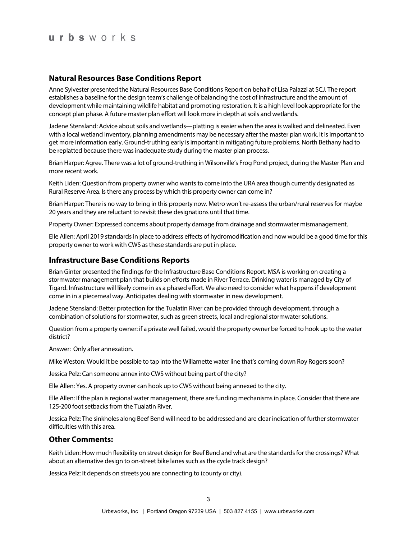# urbsworks

### **Natural Resources Base Conditions Report**

Anne Sylvester presented the Natural Resources Base Conditions Report on behalf of Lisa Palazzi at SCJ. The report establishes a baseline for the design team's challenge of balancing the cost of infrastructure and the amount of development while maintaining wildlife habitat and promoting restoration. It is a high level look appropriate for the concept plan phase. A future master plan effort will look more in depth at soils and wetlands.

Jadene Stensland: Advice about soils and wetlands—platting is easier when the area is walked and delineated. Even with a local wetland inventory, planning amendments may be necessary after the master plan work. It isimportant to get more information early. Ground-truthing early is important in mitigating future problems. North Bethany had to be replatted because there was inadequate study during the master plan process.

Brian Harper: Agree. There was a lot of ground-truthing in Wilsonville's Frog Pond project, during the Master Plan and more recent work.

Keith Liden: Question from property owner who wants to come into the URA area though currently designated as Rural Reserve Area. Is there any process by which this property owner can come in?

Brian Harper: There is no way to bring in this property now. Metro won't re-assess the urban/rural reserves for maybe 20 years and they are reluctant to revisit these designations until that time.

Property Owner: Expressed concerns about property damage from drainage and stormwater mismanagement.

Elle Allen: April 2019 standards in place to address effects of hydromodification and now would be a good time for this property owner to work with CWS as these standards are put in place.

#### **Infrastructure Base Conditions Reports**

Brian Ginter presented the findings for the Infrastructure Base Conditions Report. MSA is working on creating a stormwater management plan that builds on efforts made in River Terrace. Drinking water is managed by City of Tigard. Infrastructure will likely come in as a phased effort. We also need to consider what happens if development come in in a piecemeal way. Anticipates dealing with stormwater in new development.

Jadene Stensland: Better protection for the Tualatin River can be provided through development, through a combination of solutions for stormwater, such as green streets, local and regional stormwater solutions.

Question from a property owner: if a private well failed, would the property owner be forced to hook up to the water district?

Answer: Only after annexation.

Mike Weston: Would it be possible to tap into the Willamette water line that's coming down Roy Rogers soon?

Jessica Pelz: Can someone annex into CWS without being part of the city?

Elle Allen: Yes. A property owner can hook up to CWS without being annexed to the city.

Elle Allen: If the plan is regional water management, there are funding mechanisms in place. Consider that there are 125-200 foot setbacks from the Tualatin River.

Jessica Pelz: The sinkholes along Beef Bend will need to be addressed and are clear indication of further stormwater difficulties with this area.

### **Other Comments:**

Keith Liden: How much flexibility on street design for Beef Bend and what are the standards for the crossings? What about an alternative design to on-street bike lanes such as the cycle track design?

Jessica Pelz: It depends on streets you are connecting to (county or city).